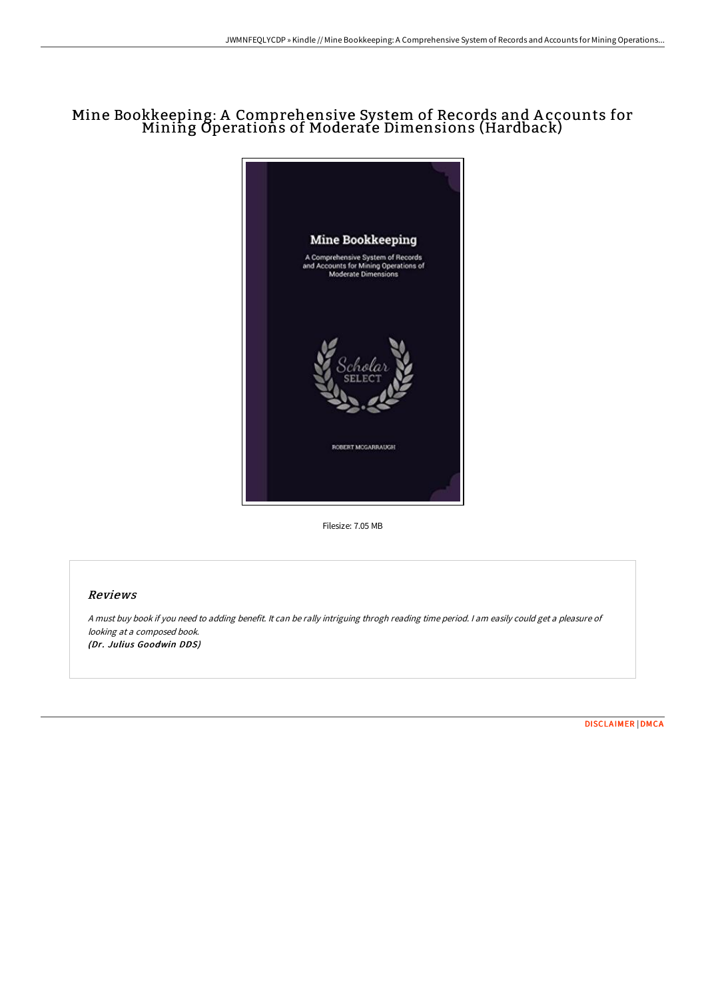# Mine Bookkeeping: A Comprehensive System of Records and A ccounts for Mining Operations of Moderate Dimensions (Hardback)



Filesize: 7.05 MB

### Reviews

<sup>A</sup> must buy book if you need to adding benefit. It can be rally intriguing throgh reading time period. <sup>I</sup> am easily could get <sup>a</sup> pleasure of looking at <sup>a</sup> composed book. (Dr. Julius Goodwin DDS)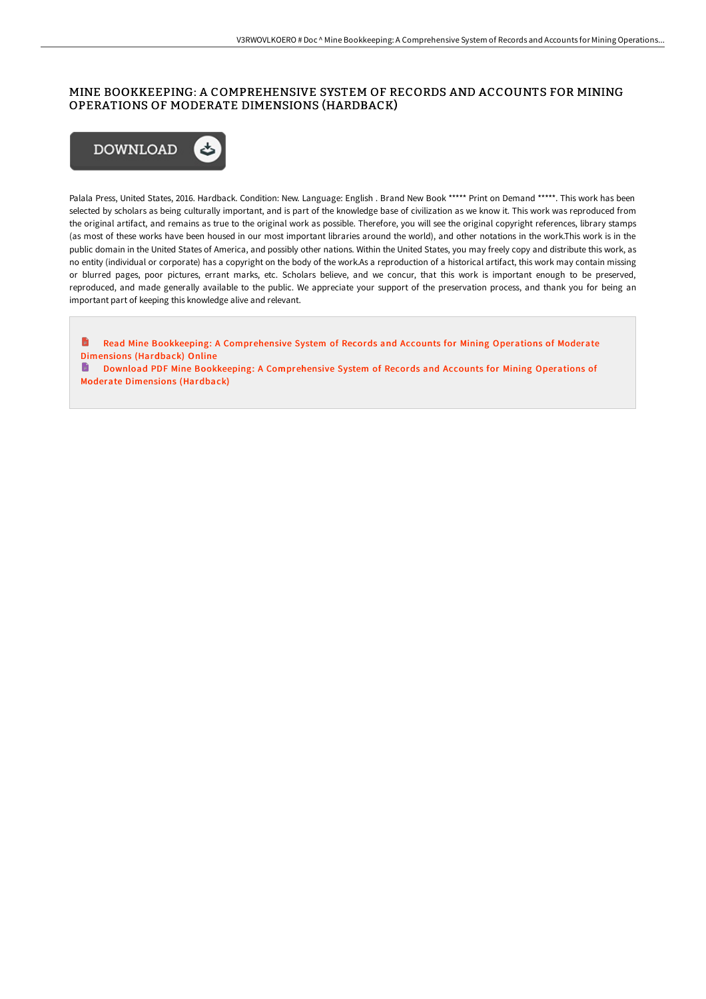### MINE BOOKKEEPING: A COMPREHENSIVE SYSTEM OF RECORDS AND ACCOUNTS FOR MINING OPERATIONS OF MODERATE DIMENSIONS (HARDBACK)



Palala Press, United States, 2016. Hardback. Condition: New. Language: English . Brand New Book \*\*\*\*\* Print on Demand \*\*\*\*\*. This work has been selected by scholars as being culturally important, and is part of the knowledge base of civilization as we know it. This work was reproduced from the original artifact, and remains as true to the original work as possible. Therefore, you will see the original copyright references, library stamps (as most of these works have been housed in our most important libraries around the world), and other notations in the work.This work is in the public domain in the United States of America, and possibly other nations. Within the United States, you may freely copy and distribute this work, as no entity (individual or corporate) has a copyright on the body of the work.As a reproduction of a historical artifact, this work may contain missing or blurred pages, poor pictures, errant marks, etc. Scholars believe, and we concur, that this work is important enough to be preserved, reproduced, and made generally available to the public. We appreciate your support of the preservation process, and thank you for being an important part of keeping this knowledge alive and relevant.

B Read Mine Bookkeeping: A [Comprehensive](http://techno-pub.tech/mine-bookkeeping-a-comprehensive-system-of-recor-4.html) System of Records and Accounts for Mining Operations of Moderate Dimensions (Hardback) Online Download PDF Mine Bookkeeping: A [Comprehensive](http://techno-pub.tech/mine-bookkeeping-a-comprehensive-system-of-recor-4.html) System of Records and Accounts for Mining Operations of

Moderate Dimensions (Hardback)